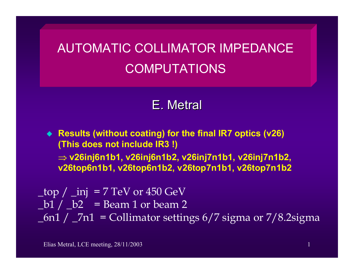## AUTOMATIC COLLIMATOR IMPEDANCE COMPUTATIONS

## E. Metral

 **Results (without coating) for the final IR7 optics (v26) (This does not include IR3 !)** ⇒ **v26inj6n1b1, v26inj6n1b2, v26inj7n1b1, v26inj7n1b2, v26top6n1b1, v26top6n1b2, v26top7n1b1, v26top7n1b2**

 $top /$  inj = 7 TeV or 450 GeV  $\lfloor b1 \rfloor$   $\lfloor b2 \rfloor$  = Beam 1 or beam 2  $_6$ n1 /  $_7$ n1 = Collimator settings 6/7 sigma or 7/8.2sigma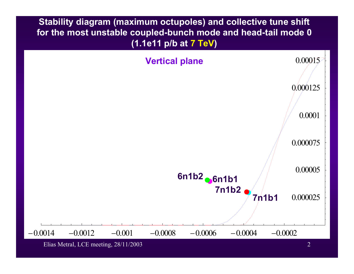**Stability diagram (maximum octupoles) and collective tune shift for the most unstable coupled-bunch mode and head-tail mode 0 (1.1e11 p/b at 7 TeV)** 



Elias Metral, LCE meeting, 28/11/2003 2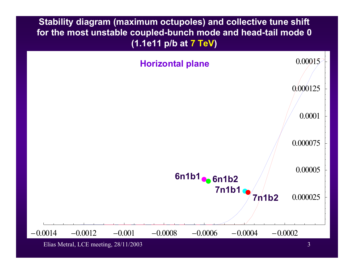**Stability diagram (maximum octupoles) and collective tune shift for the most unstable coupled-bunch mode and head-tail mode 0 (1.1e11 p/b at 7 TeV)** 



Elias Metral, LCE meeting, 28/11/2003 3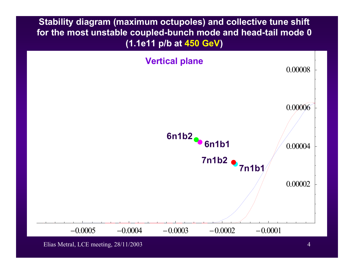**Stability diagram (maximum octupoles) and collective tune shift for the most unstable coupled-bunch mode and head-tail mode 0 (1.1e11 p/b at 450 GeV)** 



Elias Metral, LCE meeting, 28/11/2003 4